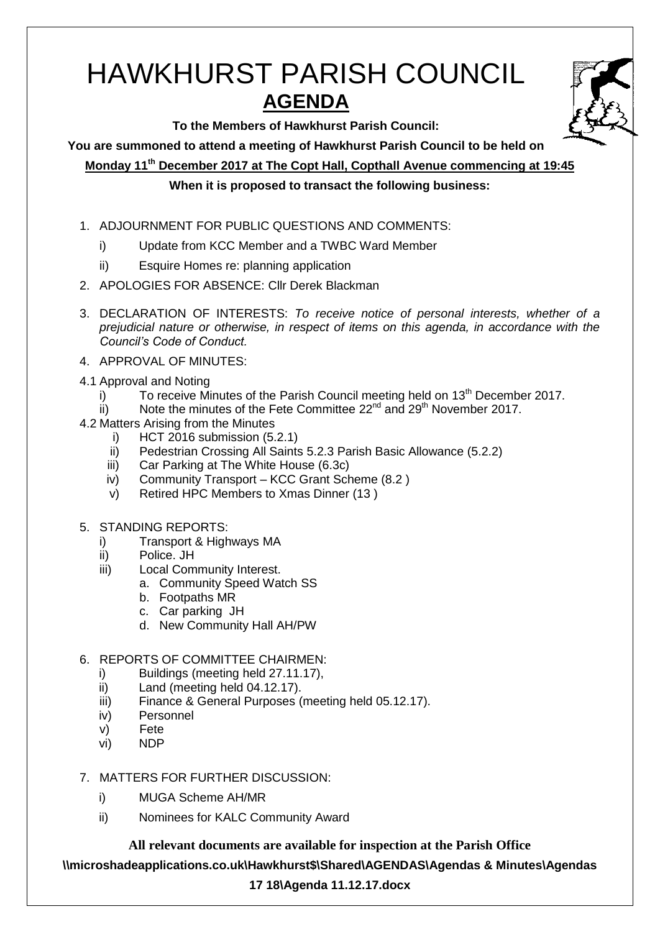# HAWKHURST PARISH COUNCIL **AGENDA**



**To the Members of Hawkhurst Parish Council:**

**You are summoned to attend a meeting of Hawkhurst Parish Council to be held on**

**Monday 11th December 2017 at The Copt Hall, Copthall Avenue commencing at 19:45**

## **When it is proposed to transact the following business:**

- 1. ADJOURNMENT FOR PUBLIC QUESTIONS AND COMMENTS:
	- i) Update from KCC Member and a TWBC Ward Member
	- ii) Esquire Homes re: planning application
- 2. APOLOGIES FOR ABSENCE: Cllr Derek Blackman
- 3. DECLARATION OF INTERESTS: *To receive notice of personal interests, whether of a prejudicial nature or otherwise, in respect of items on this agenda, in accordance with the Council's Code of Conduct.*
- 4. APPROVAL OF MINUTES:
- 4.1 Approval and Noting
	- $i)$  To receive Minutes of the Parish Council meeting held on 13<sup>th</sup> December 2017.
	- $\overrightarrow{ii}$  Note the minutes of the Fete Committee 22<sup>nd</sup> and 29<sup>th</sup> November 2017.
- 4.2 Matters Arising from the Minutes
	- i) HCT 2016 submission (5.2.1)
	- ii) Pedestrian Crossing All Saints 5.2.3 Parish Basic Allowance (5.2.2)
	- iii) Car Parking at The White House (6.3c)
	- iv) Community Transport KCC Grant Scheme (8.2 )
	- v) Retired HPC Members to Xmas Dinner (13 )
- 5. STANDING REPORTS:
	- i) Transport & Highways MA
	- ii) Police. JH
	- iii) Local Community Interest.
		- a. Community Speed Watch SS
		- b. Footpaths MR
		- c. Car parking JH
		- d. New Community Hall AH/PW
- 6. REPORTS OF COMMITTEE CHAIRMEN:
	- i) Buildings (meeting held 27.11.17),
	- ii) Land (meeting held 04.12.17).
	- iii) Finance & General Purposes (meeting held 05.12.17).
	- iv) Personnel
	- v) Fete
	- vi) NDP
- 7. MATTERS FOR FURTHER DISCUSSION:
	- i) MUGA Scheme AH/MR
	- ii) Nominees for KALC Community Award

**All relevant documents are available for inspection at the Parish Office**

**\\microshadeapplications.co.uk\Hawkhurst\$\Shared\AGENDAS\Agendas & Minutes\Agendas** 

## **17 18\Agenda 11.12.17.docx**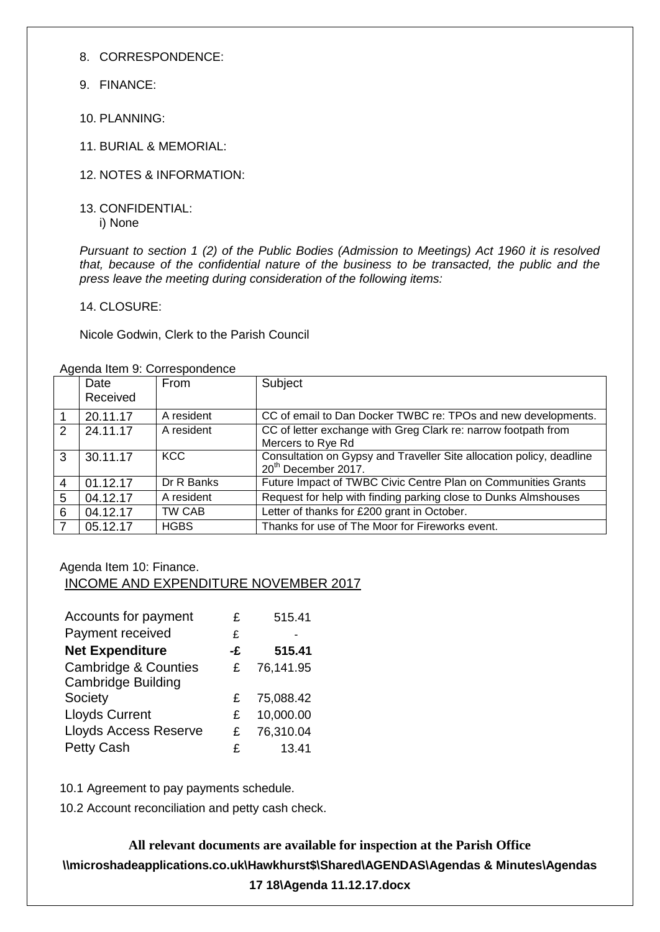8. CORRESPONDENCE:

- 9. FINANCE:
- 10. PLANNING:
- 11. BURIAL & MEMORIAL:
- 12. NOTES & INFORMATION:
- 13. CONFIDENTIAL: i) None

*Pursuant to section 1 (2) of the Public Bodies (Admission to Meetings) Act 1960 it is resolved that, because of the confidential nature of the business to be transacted, the public and the press leave the meeting during consideration of the following items:*

14. CLOSURE:

Nicole Godwin, Clerk to the Parish Council

|               | Date     | From        | Subject                                                                                                 |
|---------------|----------|-------------|---------------------------------------------------------------------------------------------------------|
|               | Received |             |                                                                                                         |
|               | 20.11.17 | A resident  | CC of email to Dan Docker TWBC re: TPOs and new developments.                                           |
| $\mathcal{P}$ | 24.11.17 | A resident  | CC of letter exchange with Greg Clark re: narrow footpath from<br>Mercers to Rye Rd                     |
| 3             | 30.11.17 | KCC         | Consultation on Gypsy and Traveller Site allocation policy, deadline<br>20 <sup>th</sup> December 2017. |
| 4             | 01.12.17 | Dr R Banks  | Future Impact of TWBC Civic Centre Plan on Communities Grants                                           |
| 5             | 04.12.17 | A resident  | Request for help with finding parking close to Dunks Almshouses                                         |
| 6             | 04.12.17 | TW CAB      | Letter of thanks for £200 grant in October.                                                             |
|               | 05.12.17 | <b>HGBS</b> | Thanks for use of The Moor for Fireworks event.                                                         |

Agenda Item 9: Correspondence

#### Agenda Item 10: Finance. INCOME AND EXPENDITURE NOVEMBER 2017

| Accounts for payment                                         | £  | 515.41    |
|--------------------------------------------------------------|----|-----------|
| Payment received                                             | £  |           |
| <b>Net Expenditure</b>                                       | -£ | 515.41    |
| <b>Cambridge &amp; Counties</b><br><b>Cambridge Building</b> | £  | 76,141.95 |
| Society                                                      | £  | 75,088.42 |
| <b>Lloyds Current</b>                                        | £  | 10,000.00 |
| <b>Lloyds Access Reserve</b>                                 | £  | 76,310.04 |
| <b>Petty Cash</b>                                            | £  | 13.41     |

10.1 Agreement to pay payments schedule.

10.2 Account reconciliation and petty cash check.

**All relevant documents are available for inspection at the Parish Office \\microshadeapplications.co.uk\Hawkhurst\$\Shared\AGENDAS\Agendas & Minutes\Agendas 17 18\Agenda 11.12.17.docx**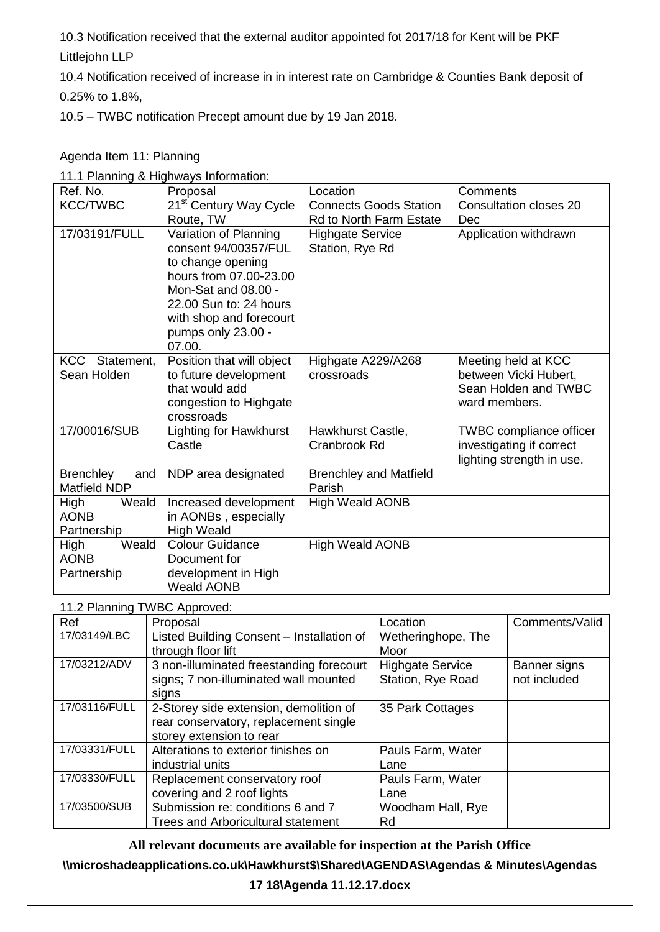10.3 Notification received that the external auditor appointed fot 2017/18 for Kent will be PKF Littlejohn LLP

10.4 Notification received of increase in in interest rate on Cambridge & Counties Bank deposit of 0.25% to 1.8%,

10.5 – TWBC notification Precept amount due by 19 Jan 2018.

## Agenda Item 11: Planning

11.1 Planning & Highways Information:

| Ref. No.                                       | Proposal                                                                                                                                                                                                 | Location                                   | Comments                                                                                |
|------------------------------------------------|----------------------------------------------------------------------------------------------------------------------------------------------------------------------------------------------------------|--------------------------------------------|-----------------------------------------------------------------------------------------|
| <b>KCC/TWBC</b>                                | 21 <sup>st</sup> Century Way Cycle                                                                                                                                                                       | <b>Connects Goods Station</b>              | <b>Consultation closes 20</b>                                                           |
|                                                | Route, TW                                                                                                                                                                                                | <b>Rd to North Farm Estate</b>             | Dec                                                                                     |
| 17/03191/FULL                                  | Variation of Planning<br>consent 94/00357/FUL<br>to change opening<br>hours from 07.00-23.00<br>Mon-Sat and 08.00 -<br>22.00 Sun to: 24 hours<br>with shop and forecourt<br>pumps only 23.00 -<br>07.00. | <b>Highgate Service</b><br>Station, Rye Rd | Application withdrawn                                                                   |
| KCC Statement,<br>Sean Holden                  | Position that will object<br>to future development<br>that would add<br>congestion to Highgate<br>crossroads                                                                                             | Highgate A229/A268<br>crossroads           | Meeting held at KCC<br>between Vicki Hubert,<br>Sean Holden and TWBC<br>ward members.   |
| 17/00016/SUB                                   | <b>Lighting for Hawkhurst</b><br>Castle                                                                                                                                                                  | Hawkhurst Castle,<br>Cranbrook Rd          | <b>TWBC</b> compliance officer<br>investigating if correct<br>lighting strength in use. |
| <b>Brenchley</b><br>and<br><b>Matfield NDP</b> | NDP area designated                                                                                                                                                                                      | <b>Brenchley and Matfield</b><br>Parish    |                                                                                         |
| Weald<br>High<br><b>AONB</b><br>Partnership    | Increased development<br>in AONBs, especially<br><b>High Weald</b>                                                                                                                                       | <b>High Weald AONB</b>                     |                                                                                         |
| Weald<br>High<br><b>AONB</b><br>Partnership    | <b>Colour Guidance</b><br>Document for<br>development in High<br><b>Weald AONB</b>                                                                                                                       | <b>High Weald AONB</b>                     |                                                                                         |

## 11.2 Planning TWBC Approved:

| Ref           | Proposal                                  | Location                | Comments/Valid |
|---------------|-------------------------------------------|-------------------------|----------------|
| 17/03149/LBC  | Listed Building Consent - Installation of | Wetheringhope, The      |                |
|               | through floor lift                        | Moor                    |                |
| 17/03212/ADV  | 3 non-illuminated freestanding forecourt  | <b>Highgate Service</b> | Banner signs   |
|               | signs; 7 non-illuminated wall mounted     | Station, Rye Road       | not included   |
|               | signs                                     |                         |                |
| 17/03116/FULL | 2-Storey side extension, demolition of    | 35 Park Cottages        |                |
|               | rear conservatory, replacement single     |                         |                |
|               | storey extension to rear                  |                         |                |
| 17/03331/FULL | Alterations to exterior finishes on       | Pauls Farm, Water       |                |
|               | industrial units                          | Lane                    |                |
| 17/03330/FULL | Replacement conservatory roof             | Pauls Farm, Water       |                |
|               | covering and 2 roof lights                | Lane                    |                |
| 17/03500/SUB  | Submission re: conditions 6 and 7         | Woodham Hall, Rye       |                |
|               | <b>Trees and Arboricultural statement</b> | Rd                      |                |

**All relevant documents are available for inspection at the Parish Office**

## **\\microshadeapplications.co.uk\Hawkhurst\$\Shared\AGENDAS\Agendas & Minutes\Agendas**

**17 18\Agenda 11.12.17.docx**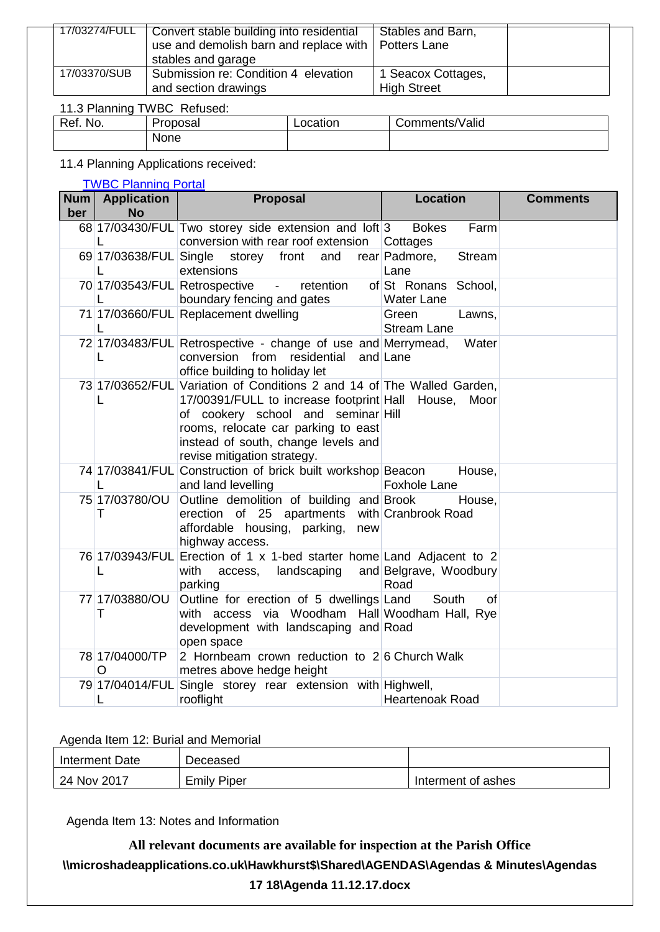|              | 17/03274/FULL   Convert stable building into residential<br>use and demolish barn and replace with   Potters Lane<br>stables and garage | Stables and Barn,                        |  |
|--------------|-----------------------------------------------------------------------------------------------------------------------------------------|------------------------------------------|--|
| 17/03370/SUB | Submission re: Condition 4 elevation<br>and section drawings                                                                            | 1 Seacox Cottages,<br><b>High Street</b> |  |

# 11.3 Planning TWBC Refused:

| Ref.<br>No. | -<br>Jronon | tion | 'Valid<br>$-$<br>$\sim$ $\sim$ $\sim$<br>116 |
|-------------|-------------|------|----------------------------------------------|
|             | None        |      |                                              |

## 11.4 Planning Applications received:

#### [TWBC Planning Portal](http://www.tunbridgewells.gov.uk/residents/planning/planning-application-search)

|     | Num   Application   | <b>Proposal</b>                                                                                                                                                                                                                                                              | <b>Location</b>                           | <b>Comments</b> |
|-----|---------------------|------------------------------------------------------------------------------------------------------------------------------------------------------------------------------------------------------------------------------------------------------------------------------|-------------------------------------------|-----------------|
| ber | <b>No</b>           |                                                                                                                                                                                                                                                                              |                                           |                 |
|     |                     | 68 17/03430/FUL Two storey side extension and loft 3<br>conversion with rear roof extension                                                                                                                                                                                  | <b>Bokes</b><br>Farm<br>Cottages          |                 |
|     |                     | 69 17/03638/FUL Single storey front and<br>extensions                                                                                                                                                                                                                        | rear Padmore,<br><b>Stream</b><br>Lane    |                 |
|     | L                   | - retention<br>70 17/03543/FUL Retrospective<br>boundary fencing and gates                                                                                                                                                                                                   | of St Ronans School,<br><b>Water Lane</b> |                 |
|     | L                   | 71 17/03660/FUL Replacement dwelling                                                                                                                                                                                                                                         | Green<br>Lawns,<br><b>Stream Lane</b>     |                 |
|     | L                   | 72 17/03483/FUL Retrospective - change of use and Merrymead,<br>conversion from residential and Lane<br>office building to holiday let                                                                                                                                       | Water                                     |                 |
|     | L                   | 73 17/03652/FUL Variation of Conditions 2 and 14 of The Walled Garden,<br>17/00391/FULL to increase footprint Hall House,<br>of cookery school and seminar Hill<br>rooms, relocate car parking to east<br>instead of south, change levels and<br>revise mitigation strategy. | Moor                                      |                 |
|     |                     | 74 17/03841/FUL Construction of brick built workshop Beacon<br>and land levelling                                                                                                                                                                                            | House,<br><b>Foxhole Lane</b>             |                 |
|     | 75 17/03780/OU<br>Τ | Outline demolition of building and Brook<br>erection of 25 apartments with Cranbrook Road<br>affordable housing, parking,<br>new<br>highway access.                                                                                                                          | House,                                    |                 |
|     | L                   | 76 17/03943/FUL Erection of 1 x 1-bed starter home Land Adjacent to 2<br>access, landscaping<br>with<br>parking                                                                                                                                                              | and Belgrave, Woodbury<br>Road            |                 |
|     | 77 17/03880/OU<br>т | Outline for erection of 5 dwellings Land<br>with access via Woodham Hall Woodham Hall, Rye<br>development with landscaping and Road<br>open space                                                                                                                            | South<br>οf                               |                 |
|     | 78 17/04000/TP<br>O | 2 Hornbeam crown reduction to 26 Church Walk<br>metres above hedge height                                                                                                                                                                                                    |                                           |                 |
|     | L                   | 79 17/04014/FUL Single storey rear extension with Highwell,<br>rooflight                                                                                                                                                                                                     | <b>Heartenoak Road</b>                    |                 |

#### Agenda Item 12: Burial and Memorial

| Interment Date | $D$ eceased        |                    |
|----------------|--------------------|--------------------|
| 24 Nov 2017    | <b>Emily Piper</b> | Interment of ashes |

Agenda Item 13: Notes and Information

**All relevant documents are available for inspection at the Parish Office \\microshadeapplications.co.uk\Hawkhurst\$\Shared\AGENDAS\Agendas & Minutes\Agendas 17 18\Agenda 11.12.17.docx**